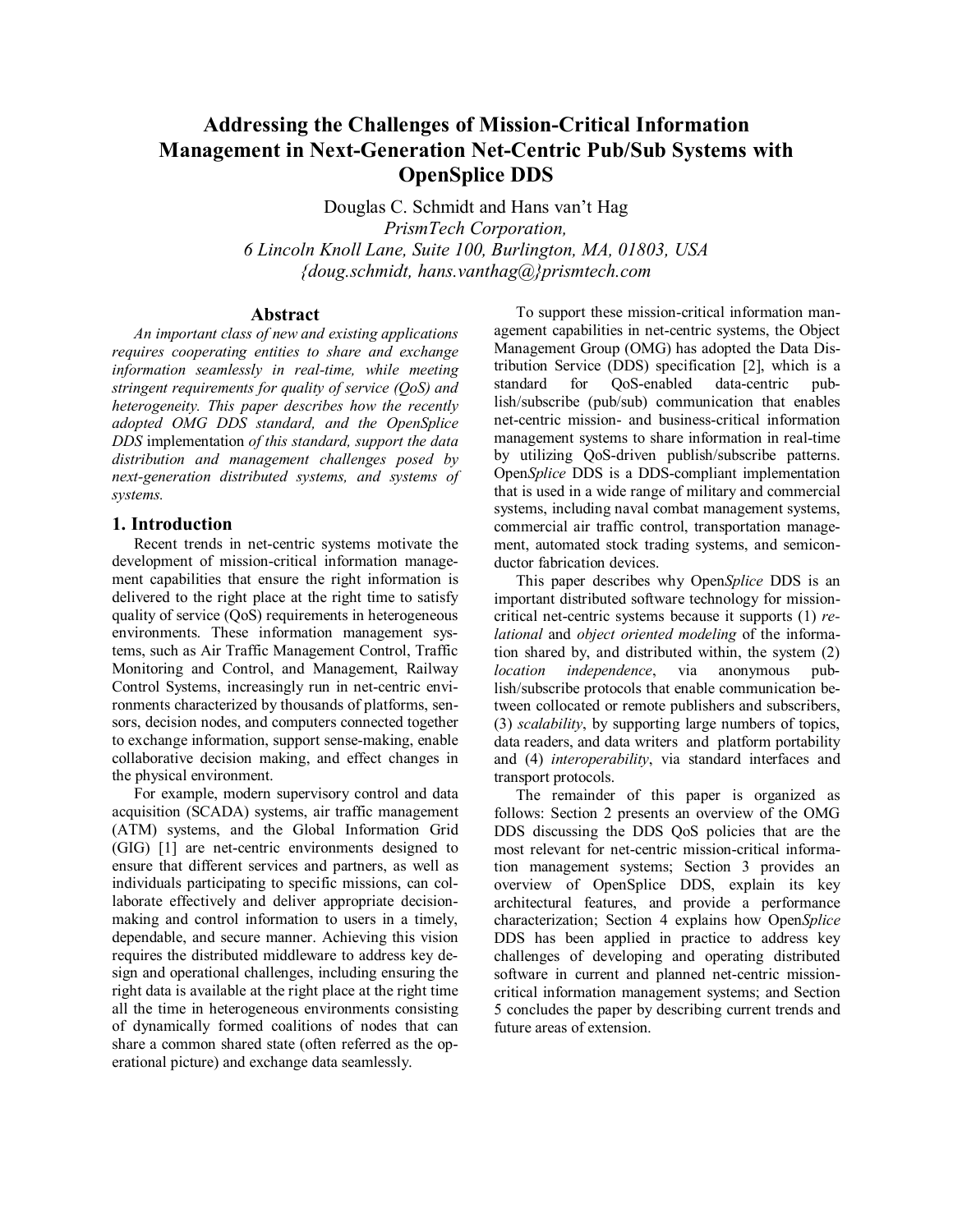# **Addressing the Challenges of Mission-Critical Information Management in Next-Generation Net-Centric Pub/Sub Systems with OpenSplice DDS**

Douglas C. Schmidt and Hans van't Hag *PrismTech Corporation, 6 Lincoln Knoll Lane, Suite 100, Burlington, MA, 01803, USA {doug.schmidt, hans.vanthag@}prismtech.com*

#### **Abstract**

*An important class of new and existing applications requires cooperating entities to share and exchange information seamlessly in real-time, while meeting stringent requirements for quality of service (QoS) and heterogeneity. This paper describes how the recently adopted OMG DDS standard, and the OpenSplice DDS* implementation *of this standard, support the data distribution and management challenges posed by next-generation distributed systems, and systems of systems.*

## **1. Introduction**

Recent trends in net-centric systems motivate the development of mission-critical information management capabilities that ensure the right information is delivered to the right place at the right time to satisfy quality of service (QoS) requirements in heterogeneous environments. These information management systems, such as Air Traffic Management Control, Traffic Monitoring and Control, and Management, Railway Control Systems, increasingly run in net-centric environments characterized by thousands of platforms, sensors, decision nodes, and computers connected together to exchange information, support sense-making, enable collaborative decision making, and effect changes in the physical environment.

For example, modern supervisory control and data acquisition (SCADA) systems, air traffic management (ATM) systems, and the Global Information Grid (GIG) [1] are net-centric environments designed to ensure that different services and partners, as well as individuals participating to specific missions, can collaborate effectively and deliver appropriate decisionmaking and control information to users in a timely, dependable, and secure manner. Achieving this vision requires the distributed middleware to address key design and operational challenges, including ensuring the right data is available at the right place at the right time all the time in heterogeneous environments consisting of dynamically formed coalitions of nodes that can share a common shared state (often referred as the operational picture) and exchange data seamlessly.

To support these mission-critical information management capabilities in net-centric systems, the Object Management Group (OMG) has adopted the Data Distribution Service (DDS) specification [2], which is a standard for QoS-enabled data-centric publish/subscribe (pub/sub) communication that enables net-centric mission- and business-critical information management systems to share information in real-time by utilizing QoS-driven publish/subscribe patterns. Open*Splice* DDS is a DDS-compliant implementation that is used in a wide range of military and commercial systems, including naval combat management systems, commercial air traffic control, transportation management, automated stock trading systems, and semiconductor fabrication devices.

This paper describes why Open*Splice* DDS is an important distributed software technology for missioncritical net-centric systems because it supports (1) *relational* and *object oriented modeling* of the information shared by, and distributed within, the system (2) *location independence*, via anonymous publish/subscribe protocols that enable communication between collocated or remote publishers and subscribers, (3) *scalability*, by supporting large numbers of topics, data readers, and data writers and platform portability and (4) *interoperability*, via standard interfaces and transport protocols.

The remainder of this paper is organized as follows: Section 2 presents an overview of the OMG DDS discussing the DDS QoS policies that are the most relevant for net-centric mission-critical information management systems; Section 3 provides an overview of OpenSplice DDS, explain its key architectural features, and provide a performance characterization; Section 4 explains how Open*Splice*  DDS has been applied in practice to address key challenges of developing and operating distributed software in current and planned net-centric missioncritical information management systems; and Section 5 concludes the paper by describing current trends and future areas of extension.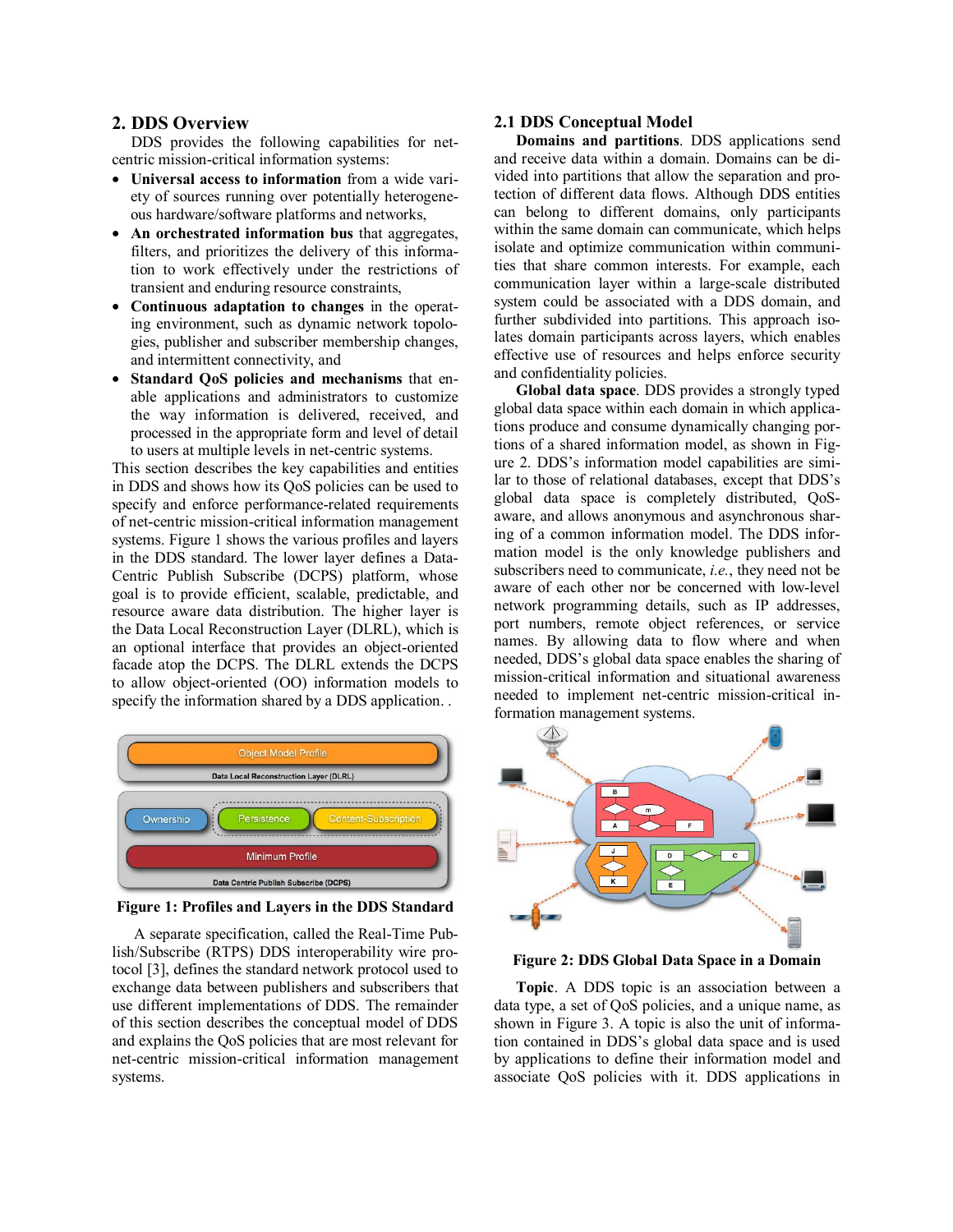### **2. DDS Overview**

DDS provides the following capabilities for netcentric mission-critical information systems:

- **Universal access to information** from a wide variety of sources running over potentially heterogeneous hardware/software platforms and networks,
- **An orchestrated information bus** that aggregates, filters, and prioritizes the delivery of this information to work effectively under the restrictions of transient and enduring resource constraints,
- **Continuous adaptation to changes** in the operating environment, such as dynamic network topologies, publisher and subscriber membership changes, and intermittent connectivity, and
- **Standard QoS policies and mechanisms** that enable applications and administrators to customize the way information is delivered, received, and processed in the appropriate form and level of detail to users at multiple levels in net-centric systems.

This section describes the key capabilities and entities in DDS and shows how its QoS policies can be used to specify and enforce performance-related requirements of net-centric mission-critical information management systems. Figure 1 shows the various profiles and layers in the DDS standard. The lower layer defines a Data-Centric Publish Subscribe (DCPS) platform, whose goal is to provide efficient, scalable, predictable, and resource aware data distribution. The higher layer is the Data Local Reconstruction Layer (DLRL), which is an optional interface that provides an object-oriented facade atop the DCPS. The DLRL extends the DCPS to allow object-oriented (OO) information models to specify the information shared by a DDS application. .



**Figure 1: Profiles and Layers in the DDS Standard** 

A separate specification, called the Real-Time Publish/Subscribe (RTPS) DDS interoperability wire protocol [3], defines the standard network protocol used to exchange data between publishers and subscribers that use different implementations of DDS. The remainder of this section describes the conceptual model of DDS and explains the QoS policies that are most relevant for net-centric mission-critical information management systems.

#### **2.1 DDS Conceptual Model**

**Domains and partitions**. DDS applications send and receive data within a domain. Domains can be divided into partitions that allow the separation and protection of different data flows. Although DDS entities can belong to different domains, only participants within the same domain can communicate, which helps isolate and optimize communication within communities that share common interests. For example, each communication layer within a large-scale distributed system could be associated with a DDS domain, and further subdivided into partitions. This approach isolates domain participants across layers, which enables effective use of resources and helps enforce security and confidentiality policies.

**Global data space**. DDS provides a strongly typed global data space within each domain in which applications produce and consume dynamically changing portions of a shared information model, as shown in Figure 2. DDS's information model capabilities are similar to those of relational databases, except that DDS's global data space is completely distributed, QoSaware, and allows anonymous and asynchronous sharing of a common information model. The DDS information model is the only knowledge publishers and subscribers need to communicate, *i.e.*, they need not be aware of each other nor be concerned with low-level network programming details, such as IP addresses, port numbers, remote object references, or service names. By allowing data to flow where and when needed, DDS's global data space enables the sharing of mission-critical information and situational awareness needed to implement net-centric mission-critical information management systems.



**Figure 2: DDS Global Data Space in a Domain** 

**Topic**. A DDS topic is an association between a data type, a set of QoS policies, and a unique name, as shown in Figure 3. A topic is also the unit of information contained in DDS's global data space and is used by applications to define their information model and associate QoS policies with it. DDS applications in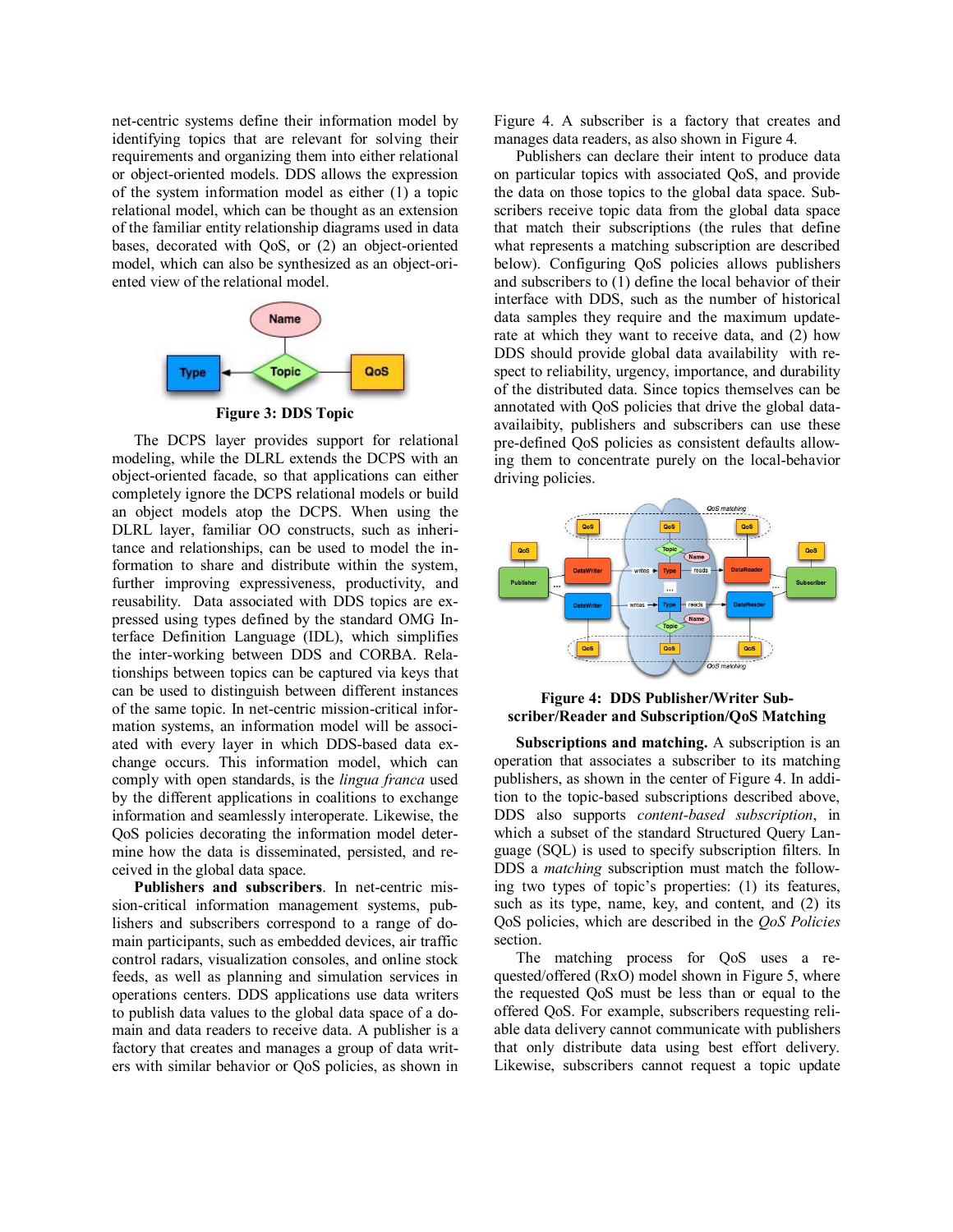net-centric systems define their information model by identifying topics that are relevant for solving their requirements and organizing them into either relational or object-oriented models. DDS allows the expression of the system information model as either (1) a topic relational model, which can be thought as an extension of the familiar entity relationship diagrams used in data bases, decorated with QoS, or (2) an object-oriented model, which can also be synthesized as an object-oriented view of the relational model.



**Figure 3: DDS Topic** 

The DCPS layer provides support for relational modeling, while the DLRL extends the DCPS with an object-oriented facade, so that applications can either completely ignore the DCPS relational models or build an object models atop the DCPS. When using the DLRL layer, familiar OO constructs, such as inheritance and relationships, can be used to model the information to share and distribute within the system, further improving expressiveness, productivity, and reusability. Data associated with DDS topics are expressed using types defined by the standard OMG Interface Definition Language (IDL), which simplifies the inter-working between DDS and CORBA. Relationships between topics can be captured via keys that can be used to distinguish between different instances of the same topic. In net-centric mission-critical information systems, an information model will be associated with every layer in which DDS-based data exchange occurs. This information model, which can comply with open standards, is the *lingua franca* used by the different applications in coalitions to exchange information and seamlessly interoperate. Likewise, the QoS policies decorating the information model determine how the data is disseminated, persisted, and received in the global data space.

**Publishers and subscribers**. In net-centric mission-critical information management systems, publishers and subscribers correspond to a range of domain participants, such as embedded devices, air traffic control radars, visualization consoles, and online stock feeds, as well as planning and simulation services in operations centers. DDS applications use data writers to publish data values to the global data space of a domain and data readers to receive data. A publisher is a factory that creates and manages a group of data writers with similar behavior or QoS policies, as shown in

Figure 4. A subscriber is a factory that creates and manages data readers, as also shown in Figure 4.

Publishers can declare their intent to produce data on particular topics with associated QoS, and provide the data on those topics to the global data space. Subscribers receive topic data from the global data space that match their subscriptions (the rules that define what represents a matching subscription are described below). Configuring QoS policies allows publishers and subscribers to  $(1)$  define the local behavior of their interface with DDS, such as the number of historical data samples they require and the maximum updaterate at which they want to receive data, and (2) how DDS should provide global data availability with respect to reliability, urgency, importance, and durability of the distributed data. Since topics themselves can be annotated with QoS policies that drive the global dataavailaibity, publishers and subscribers can use these pre-defined QoS policies as consistent defaults allowing them to concentrate purely on the local-behavior driving policies.



#### **Figure 4: DDS Publisher/Writer Subscriber/Reader and Subscription/QoS Matching**

**Subscriptions and matching.** A subscription is an operation that associates a subscriber to its matching publishers, as shown in the center of Figure 4. In addition to the topic-based subscriptions described above, DDS also supports *content-based subscription*, in which a subset of the standard Structured Query Language (SQL) is used to specify subscription filters. In DDS a *matching* subscription must match the following two types of topic's properties: (1) its features, such as its type, name, key, and content, and (2) its QoS policies, which are described in the *QoS Policies*  section.

The matching process for QoS uses a requested/offered (RxO) model shown in Figure 5, where the requested QoS must be less than or equal to the offered QoS. For example, subscribers requesting reliable data delivery cannot communicate with publishers that only distribute data using best effort delivery. Likewise, subscribers cannot request a topic update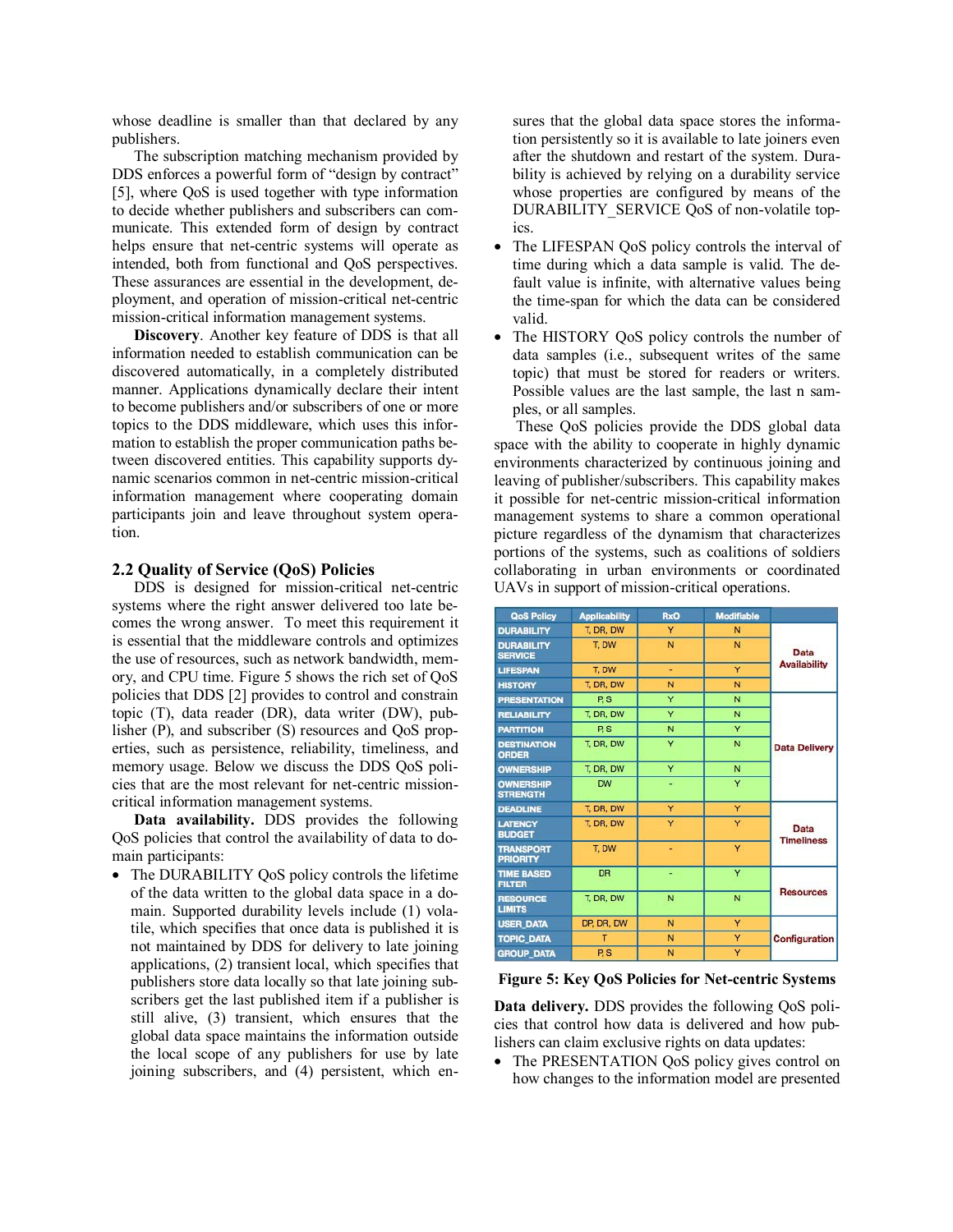whose deadline is smaller than that declared by any publishers.

The subscription matching mechanism provided by DDS enforces a powerful form of "design by contract" [5], where QoS is used together with type information to decide whether publishers and subscribers can communicate. This extended form of design by contract helps ensure that net-centric systems will operate as intended, both from functional and QoS perspectives. These assurances are essential in the development, deployment, and operation of mission-critical net-centric mission-critical information management systems.

**Discovery**. Another key feature of DDS is that all information needed to establish communication can be discovered automatically, in a completely distributed manner. Applications dynamically declare their intent to become publishers and/or subscribers of one or more topics to the DDS middleware, which uses this information to establish the proper communication paths between discovered entities. This capability supports dynamic scenarios common in net-centric mission-critical information management where cooperating domain participants join and leave throughout system operation.

#### **2.2 Quality of Service (QoS) Policies**

DDS is designed for mission-critical net-centric systems where the right answer delivered too late becomes the wrong answer. To meet this requirement it is essential that the middleware controls and optimizes the use of resources, such as network bandwidth, memory, and CPU time. Figure 5 shows the rich set of QoS policies that DDS [2] provides to control and constrain topic (T), data reader (DR), data writer (DW), publisher (P), and subscriber (S) resources and QoS properties, such as persistence, reliability, timeliness, and memory usage. Below we discuss the DDS QoS policies that are the most relevant for net-centric missioncritical information management systems.

**Data availability.** DDS provides the following QoS policies that control the availability of data to domain participants:

• The DURABILITY QoS policy controls the lifetime of the data written to the global data space in a domain. Supported durability levels include (1) volatile, which specifies that once data is published it is not maintained by DDS for delivery to late joining applications, (2) transient local, which specifies that publishers store data locally so that late joining subscribers get the last published item if a publisher is still alive, (3) transient, which ensures that the global data space maintains the information outside the local scope of any publishers for use by late joining subscribers, and (4) persistent, which ensures that the global data space stores the information persistently so it is available to late joiners even after the shutdown and restart of the system. Durability is achieved by relying on a durability service whose properties are configured by means of the DURABILITY\_SERVICE QoS of non-volatile topics.

- The LIFESPAN QoS policy controls the interval of time during which a data sample is valid. The default value is infinite, with alternative values being the time-span for which the data can be considered valid.
- The HISTORY OoS policy controls the number of data samples (i.e., subsequent writes of the same topic) that must be stored for readers or writers. Possible values are the last sample, the last n samples, or all samples.

These QoS policies provide the DDS global data space with the ability to cooperate in highly dynamic environments characterized by continuous joining and leaving of publisher/subscribers. This capability makes it possible for net-centric mission-critical information management systems to share a common operational picture regardless of the dynamism that characterizes portions of the systems, such as coalitions of soldiers collaborating in urban environments or coordinated UAVs in support of mission-critical operations.

| <b>QoS Policy</b>                   | <b>Applicability</b> | <b>RxO</b> | <b>Modifiable</b> |                             |
|-------------------------------------|----------------------|------------|-------------------|-----------------------------|
| <b>DURABILITY</b>                   | T. DR. DW            | Y          | N                 | Data<br><b>Availability</b> |
| <b>DURABILITY</b><br><b>SERVICE</b> | T. DW                | N          | N                 |                             |
| <b>LIFESPAN</b>                     | T. DW                | ۰          | Y                 |                             |
| <b>HISTORY</b>                      | T, DR, DW            | N          | N                 |                             |
| <b>PRESENTATION</b>                 | P.S                  | Y          | N                 | <b>Data Delivery</b>        |
| <b>RELIABILITY</b>                  | T. DR. DW            | Y          | N                 |                             |
| <b>PARTITION</b>                    | P.S                  | N          | Y                 |                             |
| <b>DESTINATION</b><br><b>ORDER</b>  | T. DR. DW            | Ÿ          | N                 |                             |
| <b>OWNERSHIP</b>                    | T. DR. DW            | Y          | N                 |                             |
| <b>OWNERSHIP</b><br><b>STRENGTH</b> | <b>DW</b>            | ٠          | Y                 |                             |
| <b>DEADLINE</b>                     | T. DR. DW            | Y          | Y                 | Data<br><b>Timeliness</b>   |
| <b>LATENCY</b><br><b>BUDGET</b>     | T. DR. DW            | Y          | Y                 |                             |
| <b>TRANSPORT</b><br><b>PRIORITY</b> | T. DW                | ¥          | Y                 |                             |
| <b>TIME BASED</b><br><b>FILTER</b>  | <b>DR</b>            | ٠          | Y                 | <b>Resources</b>            |
| <b>RESOURCE</b><br><b>LIMITS</b>    | T. DR. DW            | N          | N                 |                             |
| <b>USER DATA</b>                    | DP. DR. DW           | N          | Y                 | <b>Configuration</b>        |
| <b>TOPIC_DATA</b>                   | T                    | N          | Y                 |                             |
| <b>GROUP DATA</b>                   | P.S                  | N          | Y                 |                             |

**Figure 5: Key QoS Policies for Net-centric Systems** 

**Data delivery.** DDS provides the following QoS policies that control how data is delivered and how publishers can claim exclusive rights on data updates:

• The PRESENTATION QoS policy gives control on how changes to the information model are presented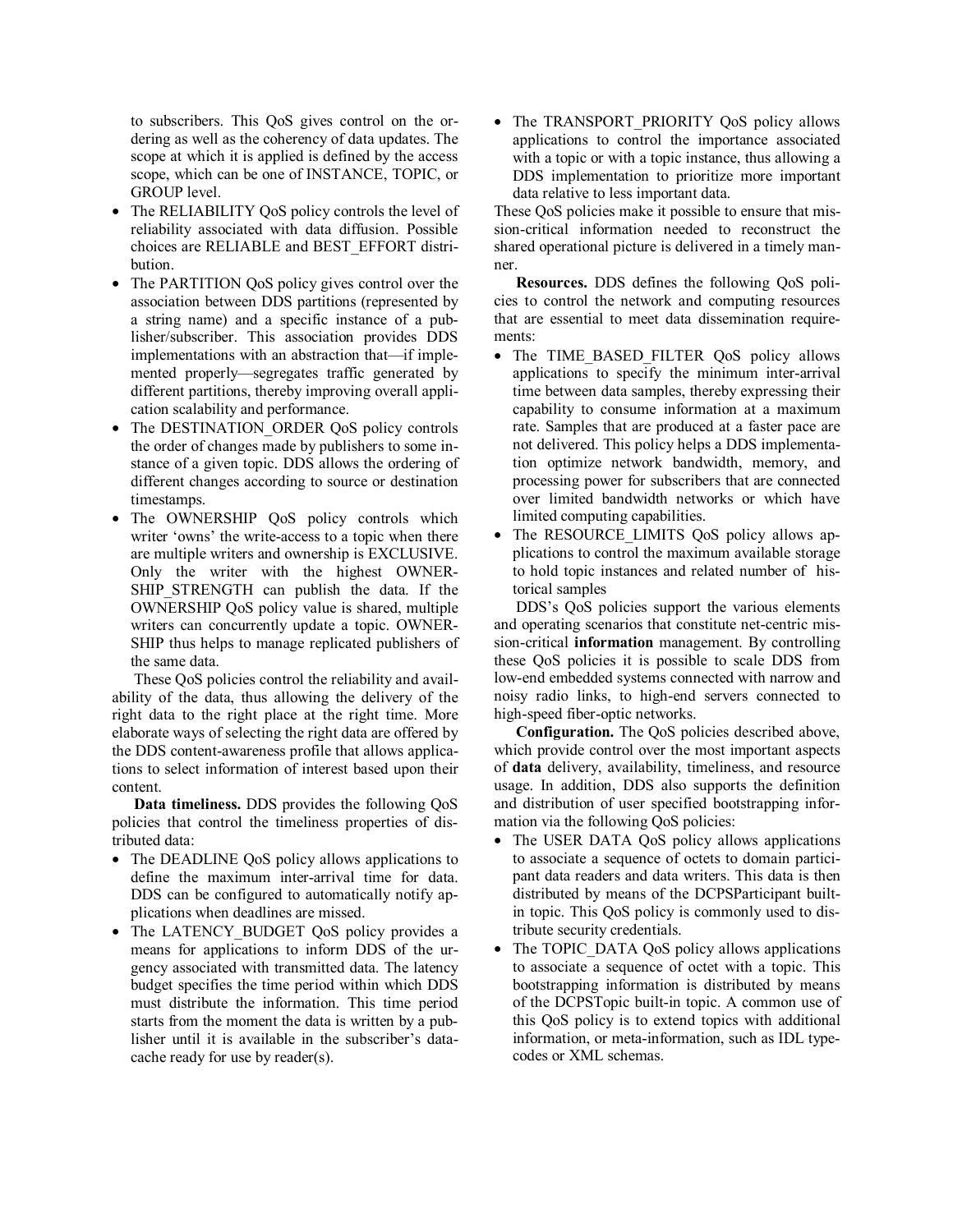to subscribers. This QoS gives control on the ordering as well as the coherency of data updates. The scope at which it is applied is defined by the access scope, which can be one of INSTANCE, TOPIC, or GROUP level.

- The RELIABILITY QoS policy controls the level of reliability associated with data diffusion. Possible choices are RELIABLE and BEST\_EFFORT distribution.
- The PARTITION QoS policy gives control over the association between DDS partitions (represented by a string name) and a specific instance of a publisher/subscriber. This association provides DDS implementations with an abstraction that—if implemented properly—segregates traffic generated by different partitions, thereby improving overall application scalability and performance.
- The DESTINATION ORDER QoS policy controls the order of changes made by publishers to some instance of a given topic. DDS allows the ordering of different changes according to source or destination timestamps.
- The OWNERSHIP QoS policy controls which writer 'owns' the write-access to a topic when there are multiple writers and ownership is EXCLUSIVE. Only the writer with the highest OWNER-SHIP STRENGTH can publish the data. If the OWNERSHIP QoS policy value is shared, multiple writers can concurrently update a topic. OWNER-SHIP thus helps to manage replicated publishers of the same data.

These QoS policies control the reliability and availability of the data, thus allowing the delivery of the right data to the right place at the right time. More elaborate ways of selecting the right data are offered by the DDS content-awareness profile that allows applications to select information of interest based upon their content.

**Data timeliness.** DDS provides the following QoS policies that control the timeliness properties of distributed data:

- The DEADLINE QoS policy allows applications to define the maximum inter-arrival time for data. DDS can be configured to automatically notify applications when deadlines are missed.
- The LATENCY BUDGET QoS policy provides a means for applications to inform DDS of the urgency associated with transmitted data. The latency budget specifies the time period within which DDS must distribute the information. This time period starts from the moment the data is written by a publisher until it is available in the subscriber's datacache ready for use by reader(s).

• The TRANSPORT PRIORITY QoS policy allows applications to control the importance associated with a topic or with a topic instance, thus allowing a DDS implementation to prioritize more important data relative to less important data.

These QoS policies make it possible to ensure that mission-critical information needed to reconstruct the shared operational picture is delivered in a timely manner.

**Resources.** DDS defines the following QoS policies to control the network and computing resources that are essential to meet data dissemination requirements:

- The TIME BASED FILTER QoS policy allows applications to specify the minimum inter-arrival time between data samples, thereby expressing their capability to consume information at a maximum rate. Samples that are produced at a faster pace are not delivered. This policy helps a DDS implementation optimize network bandwidth, memory, and processing power for subscribers that are connected over limited bandwidth networks or which have limited computing capabilities.
- The RESOURCE LIMITS QoS policy allows applications to control the maximum available storage to hold topic instances and related number of historical samples

DDS's QoS policies support the various elements and operating scenarios that constitute net-centric mission-critical **information** management. By controlling these QoS policies it is possible to scale DDS from low-end embedded systems connected with narrow and noisy radio links, to high-end servers connected to high-speed fiber-optic networks.

**Configuration.** The QoS policies described above, which provide control over the most important aspects of **data** delivery, availability, timeliness, and resource usage. In addition, DDS also supports the definition and distribution of user specified bootstrapping information via the following QoS policies:

- The USER DATA QoS policy allows applications to associate a sequence of octets to domain participant data readers and data writers. This data is then distributed by means of the DCPSParticipant builtin topic. This QoS policy is commonly used to distribute security credentials.
- The TOPIC\_DATA QoS policy allows applications to associate a sequence of octet with a topic. This bootstrapping information is distributed by means of the DCPSTopic built-in topic. A common use of this QoS policy is to extend topics with additional information, or meta-information, such as IDL typecodes or XML schemas.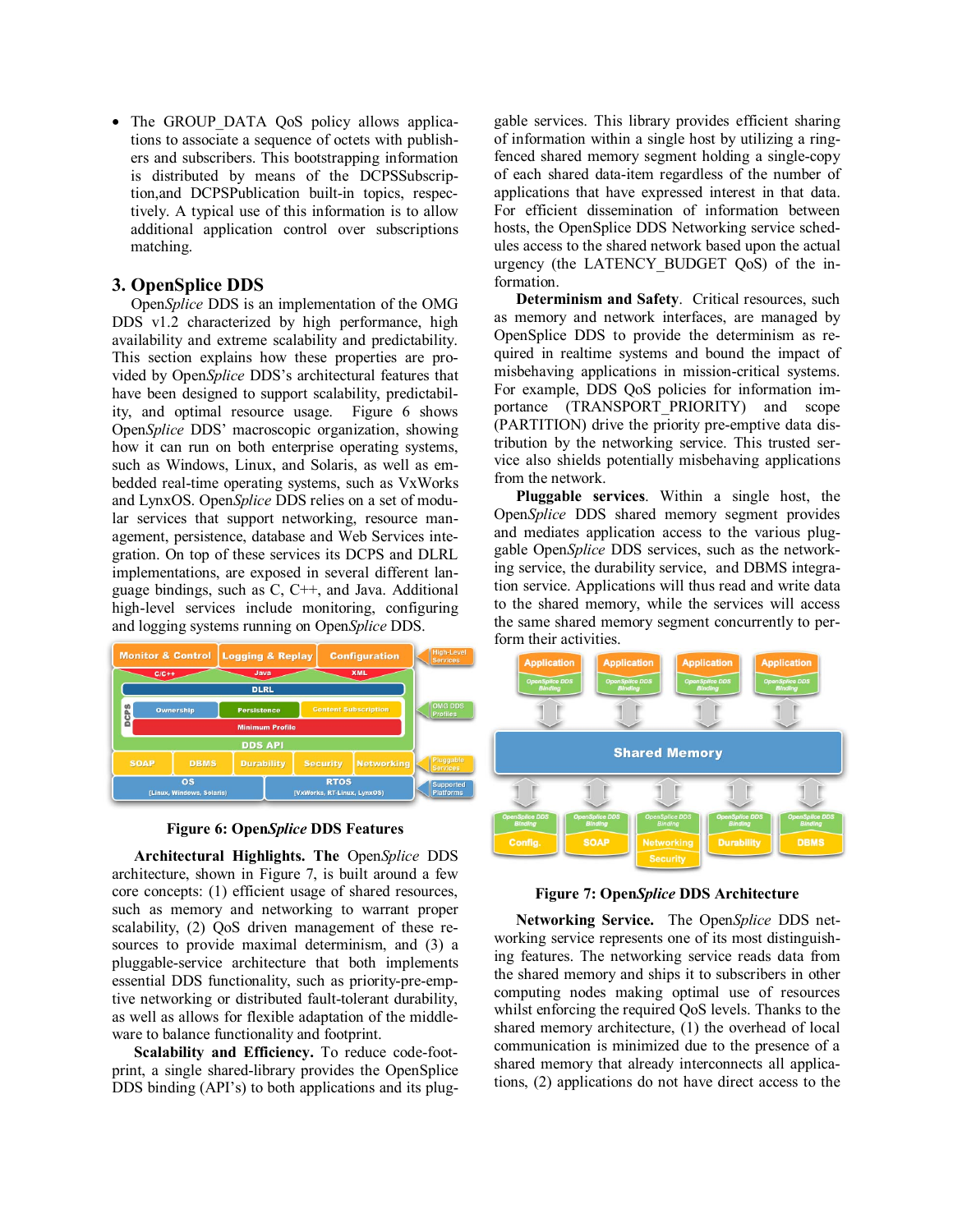• The GROUP DATA QoS policy allows applications to associate a sequence of octets with publishers and subscribers. This bootstrapping information is distributed by means of the DCPSSubscription,and DCPSPublication built-in topics, respectively. A typical use of this information is to allow additional application control over subscriptions matching.

## **3. OpenSplice DDS**

Open*Splice* DDS is an implementation of the OMG DDS v1.2 characterized by high performance, high availability and extreme scalability and predictability. This section explains how these properties are provided by Open*Splice* DDS's architectural features that have been designed to support scalability, predictability, and optimal resource usage. Figure 6 shows Open*Splice* DDS' macroscopic organization, showing how it can run on both enterprise operating systems, such as Windows, Linux, and Solaris, as well as embedded real-time operating systems, such as VxWorks and LynxOS. Open*Splice* DDS relies on a set of modular services that support networking, resource management, persistence, database and Web Services integration. On top of these services its DCPS and DLRL implementations, are exposed in several different language bindings, such as C, C++, and Java. Additional high-level services include monitoring, configuring and logging systems running on Open*Splice* DDS.



**Figure 6: Open***Splice* **DDS Features**

**Architectural Highlights. The** Open*Splice* DDS architecture, shown in Figure 7, is built around a few core concepts: (1) efficient usage of shared resources, such as memory and networking to warrant proper scalability, (2) QoS driven management of these resources to provide maximal determinism, and (3) a pluggable-service architecture that both implements essential DDS functionality, such as priority-pre-emptive networking or distributed fault-tolerant durability, as well as allows for flexible adaptation of the middleware to balance functionality and footprint.

**Scalability and Efficiency.** To reduce code-footprint, a single shared-library provides the OpenSplice DDS binding (API's) to both applications and its pluggable services. This library provides efficient sharing of information within a single host by utilizing a ringfenced shared memory segment holding a single-copy of each shared data-item regardless of the number of applications that have expressed interest in that data. For efficient dissemination of information between hosts, the OpenSplice DDS Networking service schedules access to the shared network based upon the actual urgency (the LATENCY\_BUDGET QoS) of the information.

**Determinism and Safety**. Critical resources, such as memory and network interfaces, are managed by OpenSplice DDS to provide the determinism as required in realtime systems and bound the impact of misbehaving applications in mission-critical systems. For example, DDS QoS policies for information importance (TRANSPORT\_PRIORITY) and scope (PARTITION) drive the priority pre-emptive data distribution by the networking service. This trusted service also shields potentially misbehaving applications from the network.

**Pluggable services**. Within a single host, the Open*Splice* DDS shared memory segment provides and mediates application access to the various pluggable Open*Splice* DDS services, such as the networking service, the durability service, and DBMS integration service. Applications will thus read and write data to the shared memory, while the services will access the same shared memory segment concurrently to perform their activities.



**Figure 7: Open***Splice* **DDS Architecture** 

**Networking Service.** The Open*Splice* DDS networking service represents one of its most distinguishing features. The networking service reads data from the shared memory and ships it to subscribers in other computing nodes making optimal use of resources whilst enforcing the required QoS levels. Thanks to the shared memory architecture, (1) the overhead of local communication is minimized due to the presence of a shared memory that already interconnects all applications, (2) applications do not have direct access to the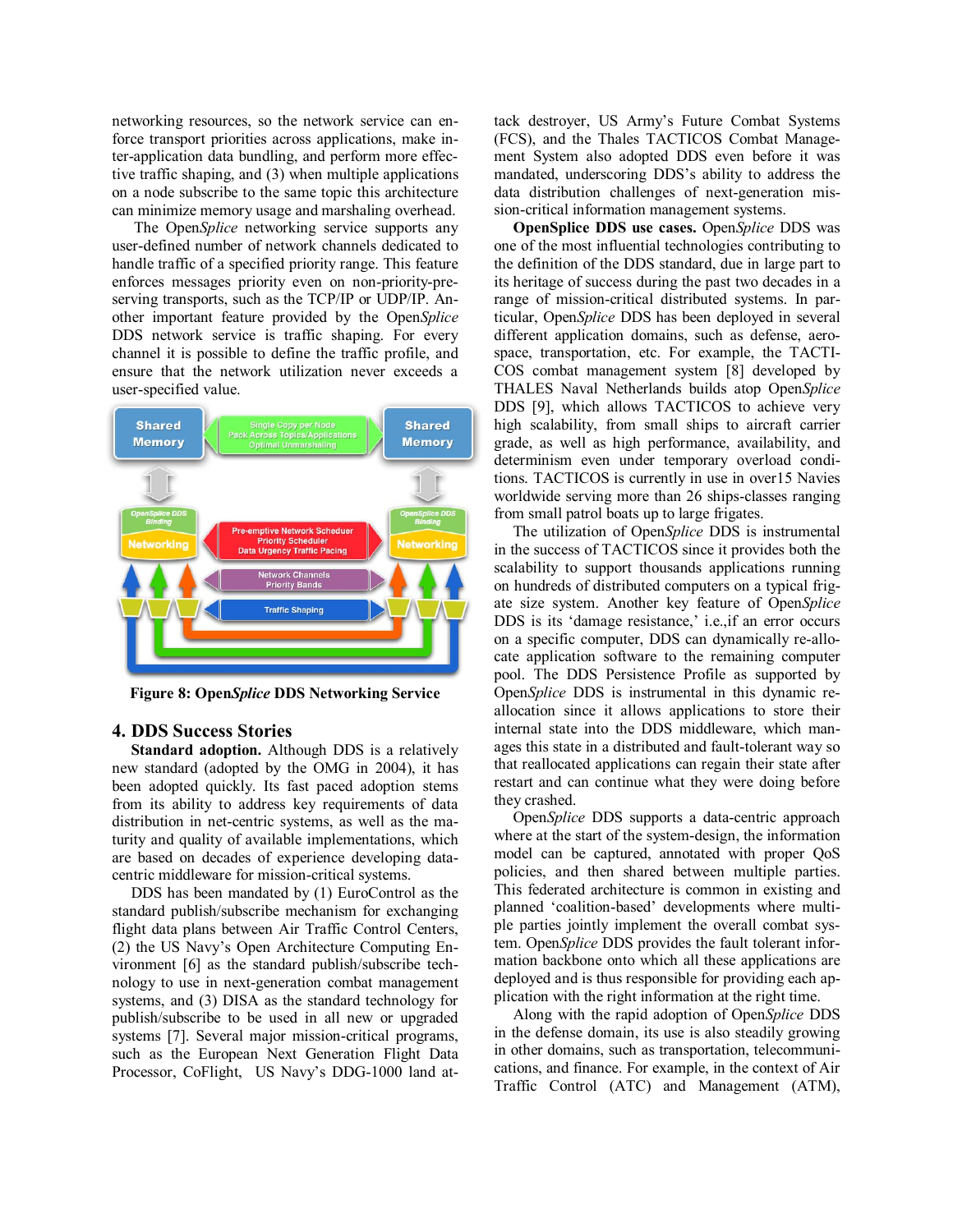networking resources, so the network service can enforce transport priorities across applications, make inter-application data bundling, and perform more effective traffic shaping, and (3) when multiple applications on a node subscribe to the same topic this architecture can minimize memory usage and marshaling overhead.

The Open*Splice* networking service supports any user-defined number of network channels dedicated to handle traffic of a specified priority range. This feature enforces messages priority even on non-priority-preserving transports, such as the TCP/IP or UDP/IP. Another important feature provided by the Open*Splice*  DDS network service is traffic shaping. For every channel it is possible to define the traffic profile, and ensure that the network utilization never exceeds a user-specified value.



**Figure 8: Open***Splice* **DDS Networking Service** 

## **4. DDS Success Stories**

**Standard adoption.** Although DDS is a relatively new standard (adopted by the OMG in 2004), it has been adopted quickly. Its fast paced adoption stems from its ability to address key requirements of data distribution in net-centric systems, as well as the maturity and quality of available implementations, which are based on decades of experience developing datacentric middleware for mission-critical systems.

DDS has been mandated by (1) EuroControl as the standard publish/subscribe mechanism for exchanging flight data plans between Air Traffic Control Centers, (2) the US Navy's Open Architecture Computing Environment [6] as the standard publish/subscribe technology to use in next-generation combat management systems, and (3) DISA as the standard technology for publish/subscribe to be used in all new or upgraded systems [7]. Several major mission-critical programs, such as the European Next Generation Flight Data Processor, CoFlight, US Navy's DDG-1000 land attack destroyer, US Army's Future Combat Systems (FCS), and the Thales TACTICOS Combat Management System also adopted DDS even before it was mandated, underscoring DDS's ability to address the data distribution challenges of next-generation mission-critical information management systems.

**OpenSplice DDS use cases.** Open*Splice* DDS was one of the most influential technologies contributing to the definition of the DDS standard, due in large part to its heritage of success during the past two decades in a range of mission-critical distributed systems. In particular, Open*Splice* DDS has been deployed in several different application domains, such as defense, aerospace, transportation, etc. For example, the TACTI-COS combat management system [8] developed by THALES Naval Netherlands builds atop Open*Splice* DDS [9], which allows TACTICOS to achieve very high scalability, from small ships to aircraft carrier grade, as well as high performance, availability, and determinism even under temporary overload conditions. TACTICOS is currently in use in over15 Navies worldwide serving more than 26 ships-classes ranging from small patrol boats up to large frigates.

The utilization of Open*Splice* DDS is instrumental in the success of TACTICOS since it provides both the scalability to support thousands applications running on hundreds of distributed computers on a typical frigate size system. Another key feature of Open*Splice* DDS is its 'damage resistance,' i.e.,if an error occurs on a specific computer, DDS can dynamically re-allocate application software to the remaining computer pool. The DDS Persistence Profile as supported by Open*Splice* DDS is instrumental in this dynamic reallocation since it allows applications to store their internal state into the DDS middleware, which manages this state in a distributed and fault-tolerant way so that reallocated applications can regain their state after restart and can continue what they were doing before they crashed.

Open*Splice* DDS supports a data-centric approach where at the start of the system-design, the information model can be captured, annotated with proper QoS policies, and then shared between multiple parties. This federated architecture is common in existing and planned 'coalition-based' developments where multiple parties jointly implement the overall combat system. Open*Splice* DDS provides the fault tolerant information backbone onto which all these applications are deployed and is thus responsible for providing each application with the right information at the right time.

Along with the rapid adoption of Open*Splice* DDS in the defense domain, its use is also steadily growing in other domains, such as transportation, telecommunications, and finance. For example, in the context of Air Traffic Control (ATC) and Management (ATM),